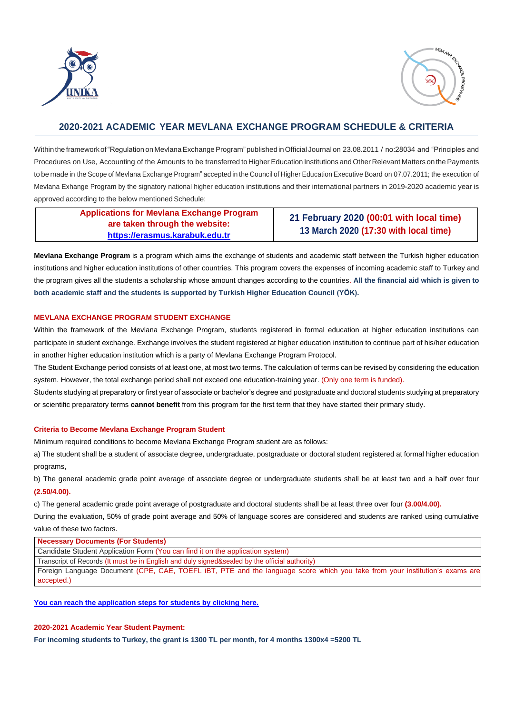



# **2020-2021 ACADEMIC YEAR MEVLANA EXCHANGE PROGRAM SCHEDULE & CRITERIA**

Within the framework of "Regulation on Mevlana Exchange Program" published in Official Journal on 23.08.2011 / no:28034 and "Principles and Procedures on Use, Accounting of the Amounts to be transferred to Higher Education Institutions and Other Relevant Matters on thePayments to be made in the Scope of Mevlana Exchange Program" accepted in the Council of Higher Education Executive Board on 07.07.2011; the execution of Mevlana Exhange Program by the signatory national higher education institutions and their international partners in 2019-2020 academic year is approved according to the below mentioned Schedule:

> **Applications for Mevlana Exchange Program are taken through the website: [https://erasmus.karabuk.edu.tr](https://erasmus.karabuk.edu.tr/)**

**21 February 2020 (00:01 with local time) 13 March 2020 (17:30 with local time)**

The Student Exchange period consists of at least one, at most two terms. The calculation of terms can be revised by considering the education system. However, the total exchange period shall not exceed one education-training year. (Only one term is funded).

**Mevlana Exchange Program** is a program which aims the exchange of students and academic staff between the Turkish higher education institutions and higher education institutions of other countries. This program covers the expenses of incoming academic staff to Turkey and the program gives all the students a scholarship whose amount changes according to the countries. **All the financial aid which is given to both academic staff and the students is supported by Turkish Higher Education Council (YÖK).**

# **MEVLANA EXCHANGE PROGRAM STUDENT EXCHANGE**

Within the framework of the Mevlana Exchange Program, students registered in formal education at higher education institutions can participate in student exchange. Exchange involves the student registered at higher education institution to continue part of his/her education in another higher education institution which is a party of Mevlana Exchange Program Protocol.

Students studying at preparatory or first year of associate or bachelor's degree and postgraduate and doctoral students studying at preparatory or scientific preparatory terms **cannot benefit** from this program for the first term that they have started their primary study.

# **Criteria to Become Mevlana Exchange Program Student**

Minimum required conditions to become Mevlana Exchange Program student are as follows:

a) The student shall be a student of associate degree, undergraduate, postgraduate or doctoral student registered at formal higher education programs,

b) The general academic grade point average of associate degree or undergraduate students shall be at least two and a half over four **(2.50/4.00).**

c) The general academic grade point average of postgraduate and doctoral students shall be at least three over four **(3.00/4.00).**

During the evaluation, 50% of grade point average and 50% of language scores are considered and students are ranked using cumulative value of these two factors.

**Necessary Documents (For Students)**

Candidate Student Application Form (You can find it on the application system)

Transcript of Records (It must be in English and duly signed&sealed by the official authority)

Foreign Language Document (CPE, CAE, TOEFL iBT, PTE and the language score which you take from your institution's exams are accepted.)

### **[You can reach the application steps for students by clicking here.](http://uluslararasi.karabuk.edu.tr/yuklenenhttp:/uluslararasi.karabuk.edu.tr/yuklenen/dosyalar/126219202022723.pptx)**

## **2020-2021 Academic Year Student Payment:**

**For incoming students to Turkey, the grant is 1300 TL per month, for 4 months 1300x4 =5200 TL**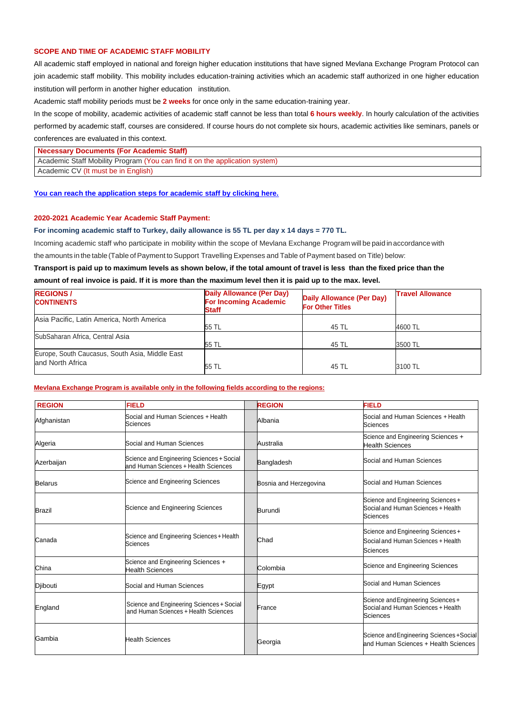## **SCOPE AND TIME OF ACADEMIC STAFF MOBILITY**

All academic staff employed in national and foreign higher education institutions that have signed Mevlana Exchange Program Protocol can join academic staff mobility. This mobility includes education-training activities which an academic staff authorized in one higher education institution will perform in another higher education institution.

Academic staff mobility periods must be **2 weeks** for once only in the same education-training year.

In the scope of mobility, academic activities of academic staff cannot be less than total **6 hours weekly**. In hourly calculation of the activities performed by academic staff, courses are considered. If course hours do not complete six hours, academic activities like seminars, panels or conferences are evaluated in this context.

### **Necessary Documents (For Academic Staff)**

Academic Staff Mobility Program (You can find it on the application system) Academic CV (It must be in English)

**[You can reach the application steps for academic staff by clicking here.](http://uluslararasi.karabuk.edu.tr/yuklenen/dosyalar/126219202022819.pptx)**

## **2020-2021 Academic Year Academic Staff Payment:**

## **For incoming academic staff to Turkey, daily allowance is 55 TL per day x 14 days = 770 TL.**

Incoming academic staff who participate in mobility within the scope of Mevlana Exchange Program will be paid in accordance with

the amounts in the table (Table of Payment to Support Travelling Expenses and Table of Payment based on Title) below:

**Transport is paid up to maximum levels as shown below, if the total amount of travel is less than the fixed price than the amount of real invoice is paid. If it is more than the maximum level then it is paid up to the max. level.**

| <b>REGIONS/</b><br><b>CONTINENTS</b>                                | <b>Daily Allowance (Per Day)</b><br><b>For Incoming Academic</b><br><b>Staff</b> | <b>Daily Allowance (Per Day)</b><br><b>For Other Titles</b> | <b>Travel Allowance</b> |
|---------------------------------------------------------------------|----------------------------------------------------------------------------------|-------------------------------------------------------------|-------------------------|
| Asia Pacific, Latin America, North America                          | 55 TL                                                                            | 45 TL                                                       | 4600 TL                 |
| SubSaharan Africa, Central Asia                                     | 55 TL                                                                            | 45 TL                                                       | 3500 TL                 |
| Europe, South Caucasus, South Asia, Middle East<br>and North Africa | 55 TL                                                                            | 45 TL                                                       | 3100 TL                 |

#### **Mevlana Exchange Program is available only in the following fields according to the regions:**

| <b>REGION</b> | <b>FIELD</b>                                                                      | <b>REGION</b>          | <b>FIELD</b>                                                                                |
|---------------|-----------------------------------------------------------------------------------|------------------------|---------------------------------------------------------------------------------------------|
| Afghanistan   | Social and Human Sciences + Health<br>Sciences                                    | Albania                | Social and Human Sciences + Health<br>Sciences                                              |
| Algeria       | Social and Human Sciences                                                         | Australia              | Science and Engineering Sciences +<br><b>Health Sciences</b>                                |
| Azerbaijan    | Science and Engineering Sciences + Social<br>and Human Sciences + Health Sciences | Bangladesh             | Social and Human Sciences                                                                   |
| Belarus       | Science and Engineering Sciences                                                  | Bosnia and Herzegovina | Social and Human Sciences                                                                   |
| <b>Brazil</b> | Science and Engineering Sciences                                                  | Burundi                | Science and Engineering Sciences +<br>Social and Human Sciences + Health<br><b>Sciences</b> |
| Canada        | Science and Engineering Sciences + Health<br>Sciences                             | Chad                   | Science and Engineering Sciences +<br>Social and Human Sciences + Health<br>Sciences        |
| China         | Science and Engineering Sciences +<br><b>Health Sciences</b>                      | Colombia               | Science and Engineering Sciences                                                            |
| Djibouti      | Social and Human Sciences                                                         | Egypt                  | Social and Human Sciences                                                                   |
| England       | Science and Engineering Sciences + Social<br>and Human Sciences + Health Sciences | France                 | Science and Engineering Sciences +<br>Social and Human Sciences + Health<br><b>Sciences</b> |
| Gambia        | <b>Health Sciences</b>                                                            | Georgia                | Science and Engineering Sciences + Social<br>land Human Sciences + Health Sciences          |